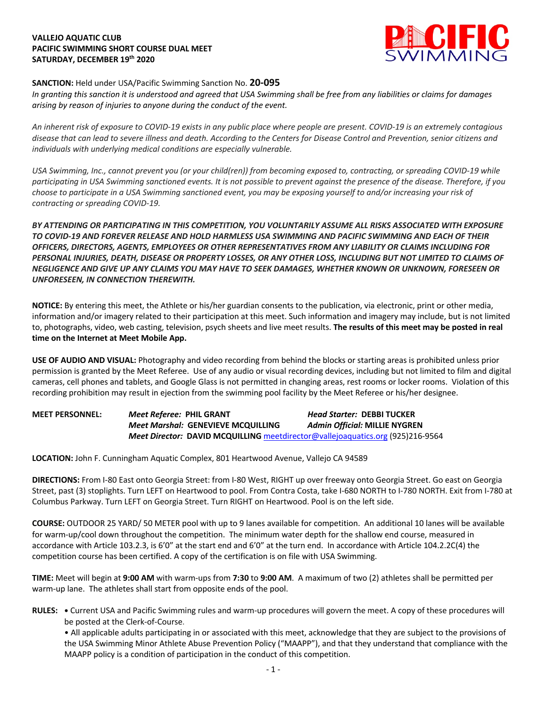# **VALLEJO AQUATIC CLUB PACIFIC SWIMMING SHORT COURSE DUAL MEET SATURDAY, DECEMBER 19th 2020**



# **SANCTION:** Held under USA/Pacific Swimming Sanction No. **20-095**

*In granting this sanction it is understood and agreed that USA Swimming shall be free from any liabilities or claims for damages arising by reason of injuries to anyone during the conduct of the event.* 

*An inherent risk of exposure to COVID-19 exists in any public place where people are present. COVID-19 is an extremely contagious disease that can lead to severe illness and death. According to the Centers for Disease Control and Prevention, senior citizens and individuals with underlying medical conditions are especially vulnerable.*

*USA Swimming, Inc., cannot prevent you (or your child(ren)) from becoming exposed to, contracting, or spreading COVID-19 while participating in USA Swimming sanctioned events. It is not possible to prevent against the presence of the disease. Therefore, if you choose to participate in a USA Swimming sanctioned event, you may be exposing yourself to and/or increasing your risk of contracting or spreading COVID-19.*

*BY ATTENDING OR PARTICIPATING IN THIS COMPETITION, YOU VOLUNTARILY ASSUME ALL RISKS ASSOCIATED WITH EXPOSURE TO COVID-19 AND FOREVER RELEASE AND HOLD HARMLESS USA SWIMMING AND PACIFIC SWIMMING AND EACH OF THEIR OFFICERS, DIRECTORS, AGENTS, EMPLOYEES OR OTHER REPRESENTATIVES FROM ANY LIABILITY OR CLAIMS INCLUDING FOR PERSONAL INJURIES, DEATH, DISEASE OR PROPERTY LOSSES, OR ANY OTHER LOSS, INCLUDING BUT NOT LIMITED TO CLAIMS OF NEGLIGENCE AND GIVE UP ANY CLAIMS YOU MAY HAVE TO SEEK DAMAGES, WHETHER KNOWN OR UNKNOWN, FORESEEN OR UNFORESEEN, IN CONNECTION THEREWITH.*

**NOTICE:** By entering this meet, the Athlete or his/her guardian consents to the publication, via electronic, print or other media, information and/or imagery related to their participation at this meet. Such information and imagery may include, but is not limited to, photographs, video, web casting, television, psych sheets and live meet results. **The results of this meet may be posted in real time on the Internet at Meet Mobile App.**

**USE OF AUDIO AND VISUAL:** Photography and video recording from behind the blocks or starting areas is prohibited unless prior permission is granted by the Meet Referee. Use of any audio or visual recording devices, including but not limited to film and digital cameras, cell phones and tablets, and Google Glass is not permitted in changing areas, rest rooms or locker rooms. Violation of this recording prohibition may result in ejection from the swimming pool facility by the Meet Referee or his/her designee.

**MEET PERSONNEL:** *Meet Referee:* **PHIL GRANT** *Head Starter:* **DEBBI TUCKER** *Meet Marshal:* **GENEVIEVE MCQUILLING** *Admin Official:* **MILLIE NYGREN** *Meet Director:* **DAVID MCQUILLING** meetdirector@vallejoaquatics.org (925)216-9564

**LOCATION:** John F. Cunningham Aquatic Complex, 801 Heartwood Avenue, Vallejo CA 94589

**DIRECTIONS:** From I-80 East onto Georgia Street: from I-80 West, RIGHT up over freeway onto Georgia Street. Go east on Georgia Street, past (3) stoplights. Turn LEFT on Heartwood to pool. From Contra Costa, take I-680 NORTH to I-780 NORTH. Exit from I-780 at Columbus Parkway. Turn LEFT on Georgia Street. Turn RIGHT on Heartwood. Pool is on the left side.

**COURSE:** OUTDOOR 25 YARD/ 50 METER pool with up to 9 lanes available for competition. An additional 10 lanes will be available for warm-up/cool down throughout the competition. The minimum water depth for the shallow end course, measured in accordance with Article 103.2.3, is 6'0" at the start end and 6'0" at the turn end. In accordance with Article 104.2.2C(4) the competition course has been certified. A copy of the certification is on file with USA Swimming.

**TIME:** Meet will begin at **9:00 AM** with warm-ups from **7:30** to **9:00 AM**. A maximum of two (2) athletes shall be permitted per warm-up lane. The athletes shall start from opposite ends of the pool.

**RULES: •** Current USA and Pacific Swimming rules and warm-up procedures will govern the meet. A copy of these procedures will be posted at the Clerk-of-Course.

• All applicable adults participating in or associated with this meet, acknowledge that they are subject to the provisions of the USA Swimming Minor Athlete Abuse Prevention Policy ("MAAPP"), and that they understand that compliance with the MAAPP policy is a condition of participation in the conduct of this competition.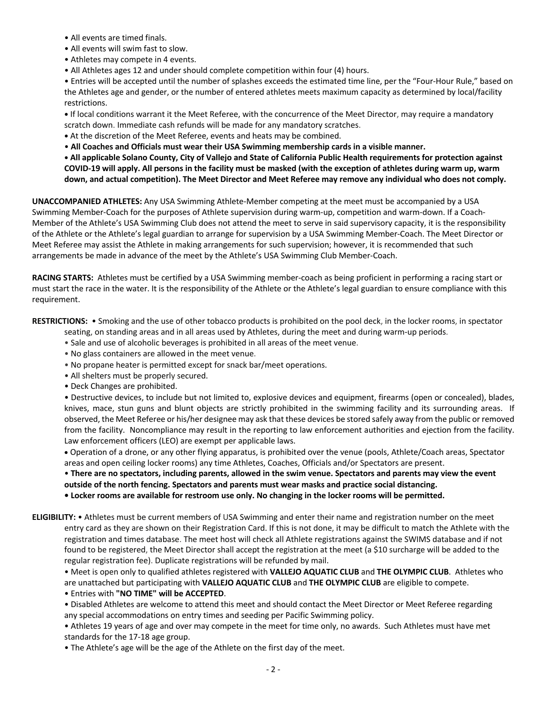- All events are timed finals.
- All events will swim fast to slow.
- Athletes may compete in 4 events.
- All Athletes ages 12 and under should complete competition within four (4) hours.

• Entries will be accepted until the number of splashes exceeds the estimated time line, per the "Four-Hour Rule," based on the Athletes age and gender, or the number of entered athletes meets maximum capacity as determined by local/facility restrictions.

**•** If local conditions warrant it the Meet Referee, with the concurrence of the Meet Director, may require a mandatory scratch down. Immediate cash refunds will be made for any mandatory scratches.

- **•** At the discretion of the Meet Referee, events and heats may be combined.
- **All Coaches and Officials must wear their USA Swimming membership cards in a visible manner.**

**• All applicable Solano County, City of Vallejo and State of California Public Health requirements for protection against COVID-19 will apply. All persons in the facility must be masked (with the exception of athletes during warm up, warm down, and actual competition). The Meet Director and Meet Referee may remove any individual who does not comply.**

**UNACCOMPANIED ATHLETES:** Any USA Swimming Athlete-Member competing at the meet must be accompanied by a USA Swimming Member-Coach for the purposes of Athlete supervision during warm-up, competition and warm-down. If a Coach-Member of the Athlete's USA Swimming Club does not attend the meet to serve in said supervisory capacity, it is the responsibility of the Athlete or the Athlete's legal guardian to arrange for supervision by a USA Swimming Member-Coach. The Meet Director or Meet Referee may assist the Athlete in making arrangements for such supervision; however, it is recommended that such arrangements be made in advance of the meet by the Athlete's USA Swimming Club Member-Coach.

**RACING STARTS:** Athletes must be certified by a USA Swimming member-coach as being proficient in performing a racing start or must start the race in the water. It is the responsibility of the Athlete or the Athlete's legal guardian to ensure compliance with this requirement.

**RESTRICTIONS:** • Smoking and the use of other tobacco products is prohibited on the pool deck, in the locker rooms, in spectator

- seating, on standing areas and in all areas used by Athletes, during the meet and during warm-up periods.
- Sale and use of alcoholic beverages is prohibited in all areas of the meet venue.
- No glass containers are allowed in the meet venue.
- No propane heater is permitted except for snack bar/meet operations.
- All shelters must be properly secured.
- Deck Changes are prohibited.

• Destructive devices, to include but not limited to, explosive devices and equipment, firearms (open or concealed), blades, knives, mace, stun guns and blunt objects are strictly prohibited in the swimming facility and its surrounding areas. If observed, the Meet Referee or his/her designee may ask that these devices be stored safely away from the public or removed from the facility. Noncompliance may result in the reporting to law enforcement authorities and ejection from the facility. Law enforcement officers (LEO) are exempt per applicable laws.

• Operation of a drone, or any other flying apparatus, is prohibited over the venue (pools, Athlete/Coach areas, Spectator areas and open ceiling locker rooms) any time Athletes, Coaches, Officials and/or Spectators are present.

• **There are no spectators, including parents, allowed in the swim venue. Spectators and parents may view the event**

**outside of the north fencing. Spectators and parents must wear masks and practice social distancing.**

- **Locker rooms are available for restroom use only. No changing in the locker rooms will be permitted.**
- **ELIGIBILITY:** Athletes must be current members of USA Swimming and enter their name and registration number on the meet entry card as they are shown on their Registration Card. If this is not done, it may be difficult to match the Athlete with the registration and times database. The meet host will check all Athlete registrations against the SWIMS database and if not found to be registered, the Meet Director shall accept the registration at the meet (a \$10 surcharge will be added to the regular registration fee). Duplicate registrations will be refunded by mail.

• Meet is open only to qualified athletes registered with **VALLEJO AQUATIC CLUB** and **THE OLYMPIC CLUB**. Athletes who are unattached but participating with **VALLEJO AQUATIC CLUB** and **THE OLYMPIC CLUB** are eligible to compete.

• Entries with **"NO TIME" will be ACCEPTED**.

• Disabled Athletes are welcome to attend this meet and should contact the Meet Director or Meet Referee regarding any special accommodations on entry times and seeding per Pacific Swimming policy.

• Athletes 19 years of age and over may compete in the meet for time only, no awards. Such Athletes must have met standards for the 17-18 age group.

• The Athlete's age will be the age of the Athlete on the first day of the meet.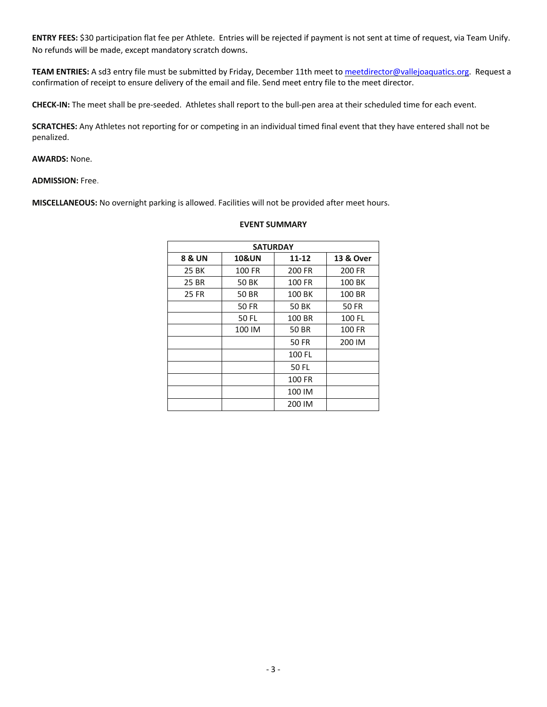**ENTRY FEES:** \$30 participation flat fee per Athlete. Entries will be rejected if payment is not sent at time of request, via Team Unify. No refunds will be made, except mandatory scratch downs.

**TEAM ENTRIES:** A sd3 entry file must be submitted by Friday, December 11th meet to meetdirector@vallejoaquatics.org. Request a confirmation of receipt to ensure delivery of the email and file. Send meet entry file to the meet director.

**CHECK-IN:** The meet shall be pre-seeded. Athletes shall report to the bull-pen area at their scheduled time for each event.

**SCRATCHES:** Any Athletes not reporting for or competing in an individual timed final event that they have entered shall not be penalized.

### **AWARDS:** None.

**ADMISSION:** Free.

**MISCELLANEOUS:** No overnight parking is allowed. Facilities will not be provided after meet hours.

| <b>SATURDAY</b>   |                  |        |              |
|-------------------|------------------|--------|--------------|
| <b>8 &amp; UN</b> | <b>10&amp;UN</b> | 11-12  | 13 & Over    |
| 25 BK             | 100 FR           | 200 FR | 200 FR       |
| 25 BR             | 50 BK            | 100 FR | 100 BK       |
| 25 FR             | 50 BR            | 100 BK | 100 BR       |
|                   | 50 FR            | 50 BK  | <b>50 FR</b> |
|                   | 50 FL            | 100 BR | 100 FL       |
|                   | 100 IM           | 50 BR  | 100 FR       |
|                   |                  | 50 FR  | 200 IM       |
|                   |                  | 100 FL |              |
|                   |                  | 50 FL  |              |
|                   |                  | 100 FR |              |
|                   |                  | 100 IM |              |
|                   |                  | 200 IM |              |

#### **EVENT SUMMARY**